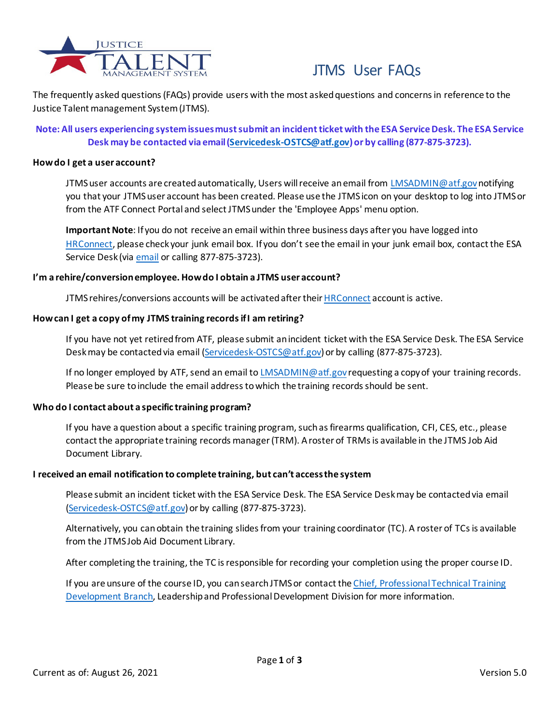

# JTMS User FAQs

The frequently asked questions (FAQs) provide users with the most asked questions and concerns in reference to the Justice Talent management System (JTMS).

# **Note: All users experiencing system issues must submit an incident ticket with the ESA Service Desk. The ESA Service Desk may be contacted via email [\(Servicedesk-OSTCS@atf.gov](mailto:Servicedesk-OSTCS@atf.gov?subject=JTMS%20Technical%20Issue)) or by calling (877-875-3723).**

## **How do I get a user account?**

JTMS user accounts are created automatically, Users will receive an email from [LMSADMIN@atf.gov](mailto:LMSADMIN@atf.gov?subject=JTMS%20Account%20Inquiry)notifying you that your JTMS user account has been created. Please use the JTMS icon on your desktop to log into JTMS or from the ATF Connect Portal and select JTMS under the 'Employee Apps' menu option.

**Important Note**: If you do not receive an email within three business days after you have logged into [HRConnect,](https://sso.treasury.gov/login/login2.jsp?SMPORTALURL=https://hrconnect.treasury.gov) please check your junk email box. If you don't see the email in your junk email box, contact the ESA Service Desk (via [email](mailto:Servicedesk-OSTCS@atf.gov?subject=JTMS%20Technical%20Issue) or calling 877-875-3723).

## **I'm a rehire/conversion employee. How do I obtain a JTMS user account?**

JTMS rehires/conversions accounts will be activated after thei[r HRConnect](https://sso.treasury.gov/login/login2.jsp?SMPORTALURL=https://hrconnect.treasury.gov) account is active.

## **How can I get a copy of my JTMS training records if I am retiring?**

If you have not yet retired from ATF, please submit an incident ticket with the ESA Service Desk. The ESA Service Desk may be contacted via email [\(Servicedesk-OSTCS@atf.gov\)](mailto:Servicedesk-OSTCS@atf.gov?subject=JTMS%20Technical%20Issue) or by calling (877-875-3723).

If no longer employed by ATF, send an email t[o LMSADMIN@atf.gov](mailto:LMSADMIN@atf.gov?subject=JTMS%20Account%20Inquiry) requesting a copy of your training records. Please be sure to include the email address to which the training records should be sent.

# **Who do I contact about a specific training program?**

If you have a question about a specific training program, such as firearms qualification, CFI, CES, etc., please contact the appropriate training records manager (TRM). A roster of TRMs is available in the JTMS Job Aid Document Library.

# **I received an email notification to complete training, but can't access the system**

Please submit an incident ticket with the ESA Service Desk. The ESA Service Desk may be contacted via email [\(Servicedesk-OSTCS@atf.gov\)](mailto:Servicedesk-OSTCS@atf.gov?subject=JTMS%20Technical%20Issue) or by calling (877-875-3723).

Alternatively, you can obtain the training slides from your training coordinator (TC). A roster of TCs is available from the JTMS Job Aid Document Library.

After completing the training, the TC is responsible for recording your completion using the proper course ID.

If you are unsure of the course ID, you can search JTMS or contact th[e Chief, Professional Technical Training](mailto:HRPDProfessionalTechnicalTrainingandDevelopmentBranch@atf.gov?subject=JTMS%20Email%20Notification%20Inquiry) [Development Branch,](mailto:HRPDProfessionalTechnicalTrainingandDevelopmentBranch@atf.gov?subject=JTMS%20Email%20Notification%20Inquiry) Leadership and Professional Development Division for more information.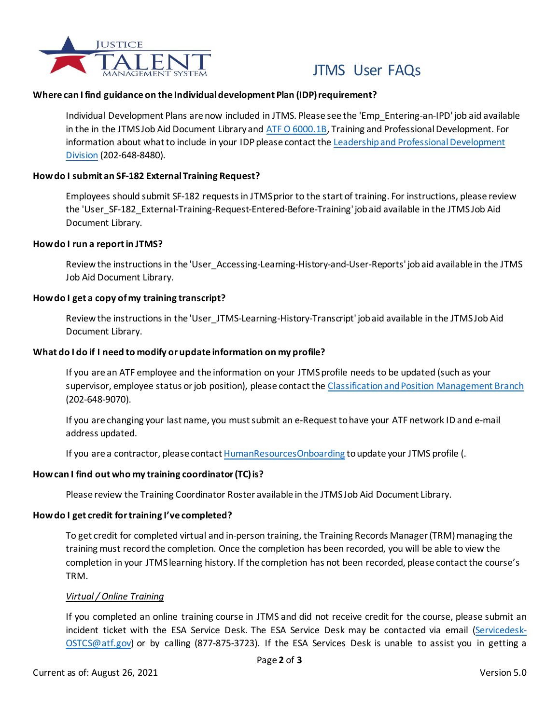

# JTMS User FAQs

# **Where can I find guidance on the Individual development Plan (IDP) requirement?**

Individual Development Plans are now included in JTMS. Please see the 'Emp\_Entering-an-IPD' job aid available in the in the JTMS Job Aid Document Library and [ATF O 6000.1B,](https://share.doj.gov/GetConnected/ATFContent/Directives%20and%20Related%20Info/Training%20and%20Professional%20Development.pdf) Training and Professional Development. For information about what to include in your IDP please contact th[e Leadership and Professional Development](mailto:HRPDLeaderProfessionalDevelopment@atf.gov?subject=LPDD%20Inquiry) [Division](mailto:HRPDLeaderProfessionalDevelopment@atf.gov?subject=LPDD%20Inquiry) (202-648-8480).

## **How do I submit an SF-182 External Training Request?**

Employees should submit SF-182 requestsin JTMS prior to the start of training. For instructions, please review the 'User\_SF-182\_External-Training-Request-Entered-Before-Training' job aid available in the JTMS Job Aid Document Library.

#### **How do I run a report in JTMS?**

Review the instructions in the 'User\_Accessing-Learning-History-and-User-Reports' job aid available in the JTMS Job Aid Document Library.

## **How do I get a copy of my training transcript?**

Review the instructions in the 'User\_JTMS-Learning-History-Transcript' job aid available in the JTMS Job Aid Document Library.

## **What do I do if I need to modify or update information on my profile?**

If you are an ATF employee and the information on your JTMS profile needs to be updated (such as your supervisor, employee status or job position), please contact th[e Classification and Position Management Branch](mailto:HRPDClassificationandPositionManagementBranch@atf.gov?subject=CPMB%20Inquiry) (202-648-9070).

If you are changing your last name, you must submit an e-Request to have your ATF network ID and e-mail address updated.

If you are a contractor, please contac[t HumanResourcesOnboarding](mailto:HumanResourcesOnboarding@atf.gov?subject=Contractor%20Update%20Request) to update your JTMS profile (.

# **How can I find out who my training coordinator (TC) is?**

Please review the Training Coordinator Roster available in the JTMS Job Aid Document Library.

#### **How do I get credit for training I've completed?**

To get credit for completed virtual and in-person training, the Training Records Manager (TRM) managing the training must record the completion. Once the completion has been recorded, you will be able to view the completion in your JTMS learning history. If the completion has not been recorded, please contact the course's TRM.

#### *Virtual / Online Training*

If you completed an online training course in JTMS and did not receive credit for the course, please submit an incident ticket with the ESA Service Desk. The ESA Service Desk may be contacted via email [\(Servicedesk-](mailto:Servicedesk-OSTCS@atf.gov?subject=JTMS%20Technical%20Issue)[OSTCS@atf.gov\)](mailto:Servicedesk-OSTCS@atf.gov?subject=JTMS%20Technical%20Issue) or by calling (877-875-3723). If the ESA Services Desk is unable to assist you in getting a